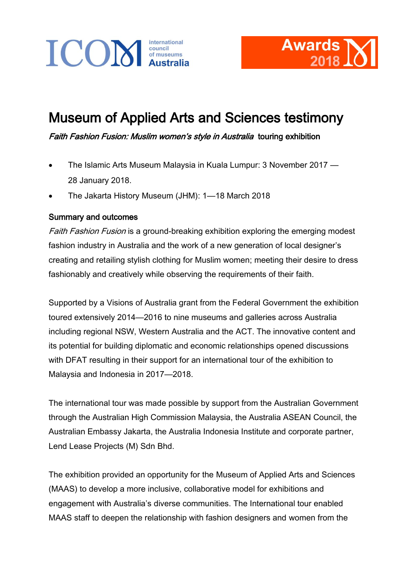



## Museum of Applied Arts and Sciences testimony

Faith Fashion Fusion: Muslim women's style in Australia touring exhibition

- The Islamic Arts Museum Malaysia in Kuala Lumpur: 3 November 2017 28 January 2018.
- The Jakarta History Museum (JHM): 1—18 March 2018

## Summary and outcomes

Faith Fashion Fusion is a ground-breaking exhibition exploring the emerging modest fashion industry in Australia and the work of a new generation of local designer's creating and retailing stylish clothing for Muslim women; meeting their desire to dress fashionably and creatively while observing the requirements of their faith.

Supported by a Visions of Australia grant from the Federal Government the exhibition toured extensively 2014—2016 to nine museums and galleries across Australia including regional NSW, Western Australia and the ACT. The innovative content and its potential for building diplomatic and economic relationships opened discussions with DFAT resulting in their support for an international tour of the exhibition to Malaysia and Indonesia in 2017—2018.

The international tour was made possible by support from the Australian Government through the Australian High Commission Malaysia, the Australia ASEAN Council, the Australian Embassy Jakarta, the Australia Indonesia Institute and corporate partner, Lend Lease Projects (M) Sdn Bhd.

The exhibition provided an opportunity for the Museum of Applied Arts and Sciences (MAAS) to develop a more inclusive, collaborative model for exhibitions and engagement with Australia's diverse communities. The International tour enabled MAAS staff to deepen the relationship with fashion designers and women from the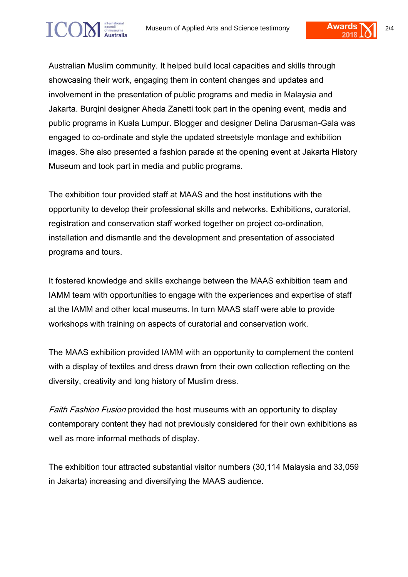Australian Muslim community. It helped build local capacities and skills through showcasing their work, engaging them in content changes and updates and involvement in the presentation of public programs and media in Malaysia and Jakarta. Burqini designer Aheda Zanetti took part in the opening event, media and public programs in Kuala Lumpur. Blogger and designer Delina Darusman-Gala was engaged to co-ordinate and style the updated streetstyle montage and exhibition images. She also presented a fashion parade at the opening event at Jakarta History Museum and took part in media and public programs.

The exhibition tour provided staff at MAAS and the host institutions with the opportunity to develop their professional skills and networks. Exhibitions, curatorial, registration and conservation staff worked together on project co-ordination, installation and dismantle and the development and presentation of associated programs and tours.

It fostered knowledge and skills exchange between the MAAS exhibition team and IAMM team with opportunities to engage with the experiences and expertise of staff at the IAMM and other local museums. In turn MAAS staff were able to provide workshops with training on aspects of curatorial and conservation work.

The MAAS exhibition provided IAMM with an opportunity to complement the content with a display of textiles and dress drawn from their own collection reflecting on the diversity, creativity and long history of Muslim dress.

Faith Fashion Fusion provided the host museums with an opportunity to display contemporary content they had not previously considered for their own exhibitions as well as more informal methods of display.

The exhibition tour attracted substantial visitor numbers (30,114 Malaysia and 33,059 in Jakarta) increasing and diversifying the MAAS audience.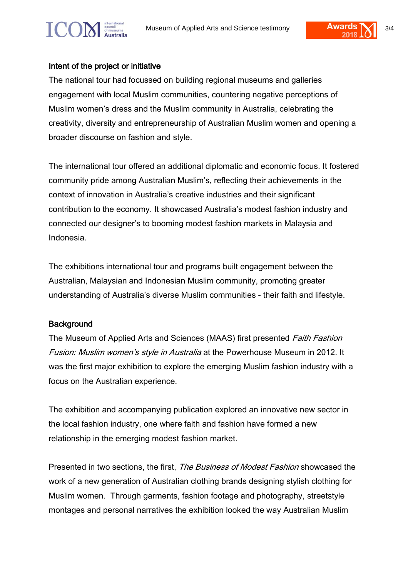

The national tour had focussed on building regional museums and galleries engagement with local Muslim communities, countering negative perceptions of Muslim women's dress and the Muslim community in Australia, celebrating the creativity, diversity and entrepreneurship of Australian Muslim women and opening a broader discourse on fashion and style.

The international tour offered an additional diplomatic and economic focus. It fostered community pride among Australian Muslim's, reflecting their achievements in the context of innovation in Australia's creative industries and their significant contribution to the economy. It showcased Australia's modest fashion industry and connected our designer's to booming modest fashion markets in Malaysia and Indonesia.

The exhibitions international tour and programs built engagement between the Australian, Malaysian and Indonesian Muslim community, promoting greater understanding of Australia's diverse Muslim communities - their faith and lifestyle.

## **Background**

The Museum of Applied Arts and Sciences (MAAS) first presented Faith Fashion Fusion: Muslim women's style in Australia at the Powerhouse Museum in 2012. It was the first major exhibition to explore the emerging Muslim fashion industry with a focus on the Australian experience.

The exhibition and accompanying publication explored an innovative new sector in the local fashion industry, one where faith and fashion have formed a new relationship in the emerging modest fashion market.

Presented in two sections, the first, *The Business of Modest Fashion* showcased the work of a new generation of Australian clothing brands designing stylish clothing for Muslim women. Through garments, fashion footage and photography, streetstyle montages and personal narratives the exhibition looked the way Australian Muslim